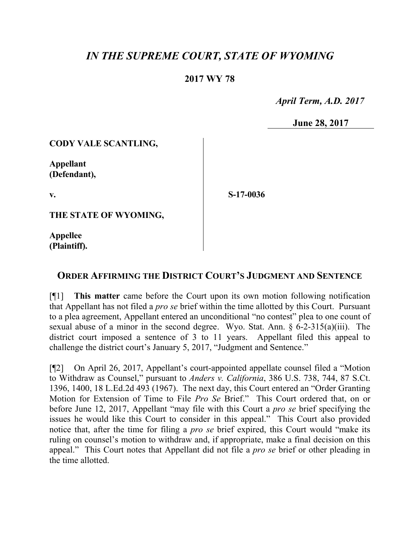# *IN THE SUPREME COURT, STATE OF WYOMING*

# **2017 WY 78**

 *April Term, A.D. 2017*

**June 28, 2017**

### **CODY VALE SCANTLING,**

**Appellant (Defendant),**

**v.**

**S-17-0036**

**THE STATE OF WYOMING,**

**Appellee (Plaintiff).**

# **ORDER AFFIRMING THE DISTRICT COURT'S JUDGMENT AND SENTENCE**

[¶1] **This matter** came before the Court upon its own motion following notification that Appellant has not filed a *pro se* brief within the time allotted by this Court. Pursuant to a plea agreement, Appellant entered an unconditional "no contest" plea to one count of sexual abuse of a minor in the second degree. Wyo. Stat. Ann. § 6-2-315(a)(iii). The district court imposed a sentence of 3 to 11 years. Appellant filed this appeal to challenge the district court's January 5, 2017, "Judgment and Sentence."

[¶2] On April 26, 2017, Appellant's court-appointed appellate counsel filed a "Motion to Withdraw as Counsel," pursuant to *Anders v. California*, 386 U.S. 738, 744, 87 S.Ct. 1396, 1400, 18 L.Ed.2d 493 (1967). The next day, this Court entered an "Order Granting Motion for Extension of Time to File *Pro Se* Brief." This Court ordered that, on or before June 12, 2017, Appellant "may file with this Court a *pro se* brief specifying the issues he would like this Court to consider in this appeal." This Court also provided notice that, after the time for filing a *pro se* brief expired, this Court would "make its ruling on counsel's motion to withdraw and, if appropriate, make a final decision on this appeal." This Court notes that Appellant did not file a *pro se* brief or other pleading in the time allotted.